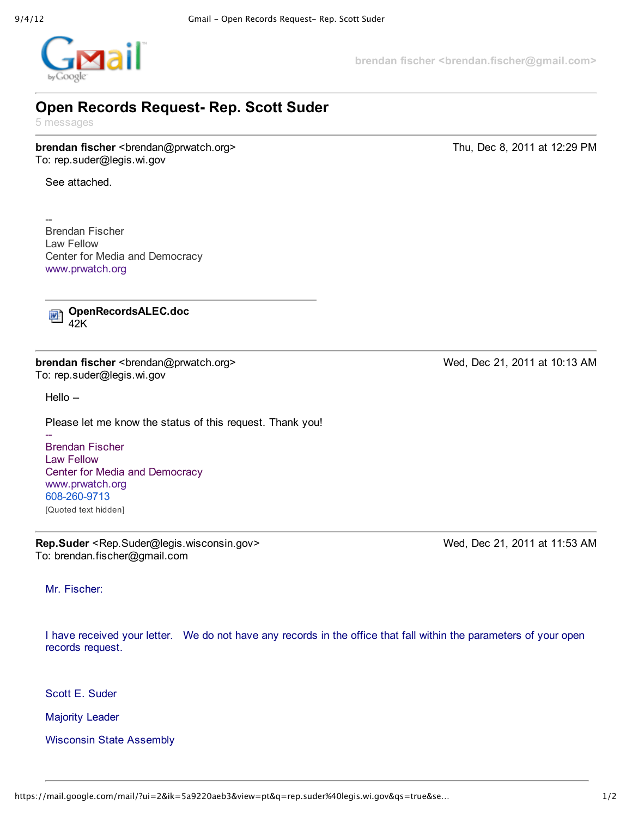

**brendan fischer <brendan.fischer@gmail.com>**

## **Open Records Request Rep. Scott Suder**

5 messages

**brendan fischer** <br endan@prwatch.org>
Thu, Dec 8, 2011 at 12:29 PM To: rep.suder@legis.wi.gov

See attached.

--Brendan Fischer Law Fellow Center for Media and Democracy www.prwatch.org

**OpenRecordsALEC.doc**  $\overline{w}$ 42K

**brendan fischer** <br endan@prwatch.org> Wed, Dec 21, 2011 at 10:13 AM To: rep.suder@legis.wi.gov

Hello --

÷

Please let me know the status of this request. Thank you!

Brendan Fischer Law Fellow Center for Media and Democracy www.prwatch.org 608-260-9713 [Quoted text hidden]

**Rep.Suder** <Rep.Suder@legis.wisconsin.gov> Wed, Dec 21, 2011 at 11:53 AM To: brendan.fischer@gmail.com

Mr. Fischer:

I have received your letter. We do not have any records in the office that fall within the parameters of your open records request.

Scott E. Suder

Majority Leader

Wisconsin State Assembly